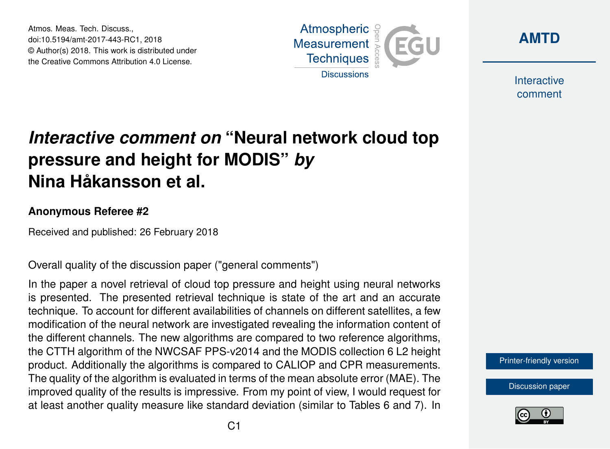Atmos. Meas. Tech. Discuss., doi:10.5194/amt-2017-443-RC1, 2018 © Author(s) 2018. This work is distributed under the Creative Commons Attribution 4.0 License.



**[AMTD](https://www.atmos-meas-tech-discuss.net/)**

Interactive comment

## *Interactive comment on* **"Neural network cloud top pressure and height for MODIS"** *by* **Nina Håkansson et al.**

## **Anonymous Referee #2**

Received and published: 26 February 2018

Overall quality of the discussion paper ("general comments")

In the paper a novel retrieval of cloud top pressure and height using neural networks is presented. The presented retrieval technique is state of the art and an accurate technique. To account for different availabilities of channels on different satellites, a few modification of the neural network are investigated revealing the information content of the different channels. The new algorithms are compared to two reference algorithms, the CTTH algorithm of the NWCSAF PPS-v2014 and the MODIS collection 6 L2 height product. Additionally the algorithms is compared to CALIOP and CPR measurements. The quality of the algorithm is evaluated in terms of the mean absolute error (MAE). The improved quality of the results is impressive. From my point of view, I would request for at least another quality measure like standard deviation (similar to Tables 6 and 7). In

[Printer-friendly version](https://www.atmos-meas-tech-discuss.net/amt-2017-443/amt-2017-443-RC1-print.pdf)

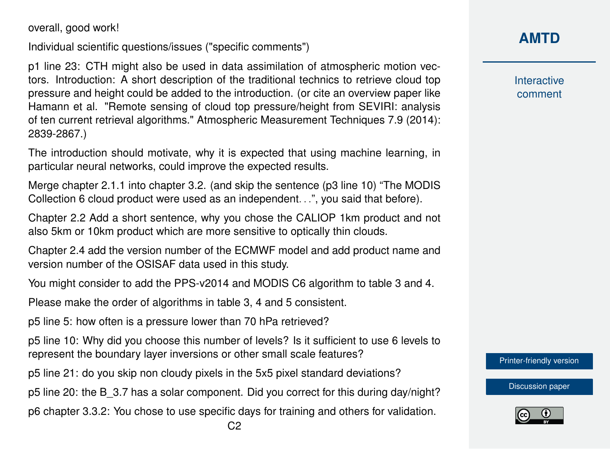overall, good work!

Individual scientific questions/issues ("specific comments")

p1 line 23: CTH might also be used in data assimilation of atmospheric motion vectors. Introduction: A short description of the traditional technics to retrieve cloud top pressure and height could be added to the introduction. (or cite an overview paper like Hamann et al. "Remote sensing of cloud top pressure/height from SEVIRI: analysis of ten current retrieval algorithms." Atmospheric Measurement Techniques 7.9 (2014): 2839-2867.)

The introduction should motivate, why it is expected that using machine learning, in particular neural networks, could improve the expected results.

Merge chapter 2.1.1 into chapter 3.2. (and skip the sentence (p3 line 10) "The MODIS Collection 6 cloud product were used as an independent. . .", you said that before).

Chapter 2.2 Add a short sentence, why you chose the CALIOP 1km product and not also 5km or 10km product which are more sensitive to optically thin clouds.

Chapter 2.4 add the version number of the ECMWF model and add product name and version number of the OSISAF data used in this study.

You might consider to add the PPS-v2014 and MODIS C6 algorithm to table 3 and 4.

Please make the order of algorithms in table 3, 4 and 5 consistent.

p5 line 5: how often is a pressure lower than 70 hPa retrieved?

p5 line 10: Why did you choose this number of levels? Is it sufficient to use 6 levels to represent the boundary layer inversions or other small scale features?

p5 line 21: do you skip non cloudy pixels in the 5x5 pixel standard deviations?

p5 line 20: the B\_3.7 has a solar component. Did you correct for this during day/night?

p6 chapter 3.3.2: You chose to use specific days for training and others for validation.

**[AMTD](https://www.atmos-meas-tech-discuss.net/)**

Interactive comment

[Printer-friendly version](https://www.atmos-meas-tech-discuss.net/amt-2017-443/amt-2017-443-RC1-print.pdf)

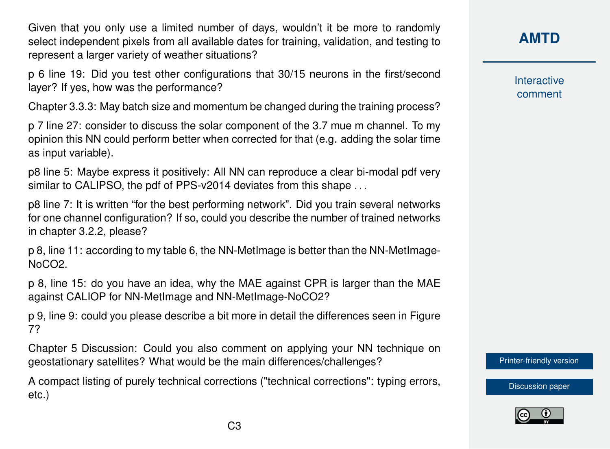Given that you only use a limited number of days, wouldn't it be more to randomly select independent pixels from all available dates for training, validation, and testing to represent a larger variety of weather situations?

p 6 line 19: Did you test other configurations that 30/15 neurons in the first/second layer? If yes, how was the performance?

Chapter 3.3.3: May batch size and momentum be changed during the training process?

p 7 line 27: consider to discuss the solar component of the 3.7 mue m channel. To my opinion this NN could perform better when corrected for that (e.g. adding the solar time as input variable).

p8 line 5: Maybe express it positively: All NN can reproduce a clear bi-modal pdf very similar to CALIPSO, the pdf of PPS-y2014 deviates from this shape

p8 line 7: It is written "for the best performing network". Did you train several networks for one channel configuration? If so, could you describe the number of trained networks in chapter 3.2.2, please?

p 8, line 11: according to my table 6, the NN-MetImage is better than the NN-MetImage-NoCO2.

p 8, line 15: do you have an idea, why the MAE against CPR is larger than the MAE against CALIOP for NN-MetImage and NN-MetImage-NoCO2?

p 9, line 9: could you please describe a bit more in detail the differences seen in Figure 7?

Chapter 5 Discussion: Could you also comment on applying your NN technique on geostationary satellites? What would be the main differences/challenges?

A compact listing of purely technical corrections ("technical corrections": typing errors, etc.)

**[AMTD](https://www.atmos-meas-tech-discuss.net/)**

**Interactive** comment

[Printer-friendly version](https://www.atmos-meas-tech-discuss.net/amt-2017-443/amt-2017-443-RC1-print.pdf)

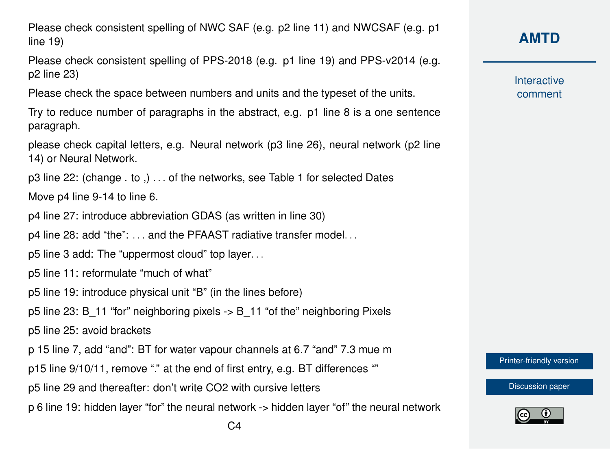Please check consistent spelling of NWC SAF (e.g. p2 line 11) and NWCSAF (e.g. p1 line 19)

Please check consistent spelling of PPS-2018 (e.g. p1 line 19) and PPS-v2014 (e.g. p2 line 23)

Please check the space between numbers and units and the typeset of the units.

Try to reduce number of paragraphs in the abstract, e.g. p1 line 8 is a one sentence paragraph.

please check capital letters, e.g. Neural network (p3 line 26), neural network (p2 line 14) or Neural Network.

p3 line 22: (change . to ,) . . . of the networks, see Table 1 for selected Dates

Move p4 line 9-14 to line 6.

p4 line 27: introduce abbreviation GDAS (as written in line 30)

p4 line 28: add "the": . . . and the PFAAST radiative transfer model. . .

p5 line 3 add: The "uppermost cloud" top layer. . .

p5 line 11: reformulate "much of what"

p5 line 19: introduce physical unit "B" (in the lines before)

p5 line 23: B\_11 "for" neighboring pixels -> B\_11 "of the" neighboring Pixels

p5 line 25: avoid brackets

p 15 line 7, add "and": BT for water vapour channels at 6.7 "and" 7.3 mue m

p15 line  $9/10/11$ , remove "." at the end of first entry, e.g. BT differences ""

p5 line 29 and thereafter: don't write CO2 with cursive letters

p 6 line 19: hidden layer "for" the neural network -> hidden layer "of" the neural network

## **[AMTD](https://www.atmos-meas-tech-discuss.net/)**

**Interactive** comment

[Printer-friendly version](https://www.atmos-meas-tech-discuss.net/amt-2017-443/amt-2017-443-RC1-print.pdf)